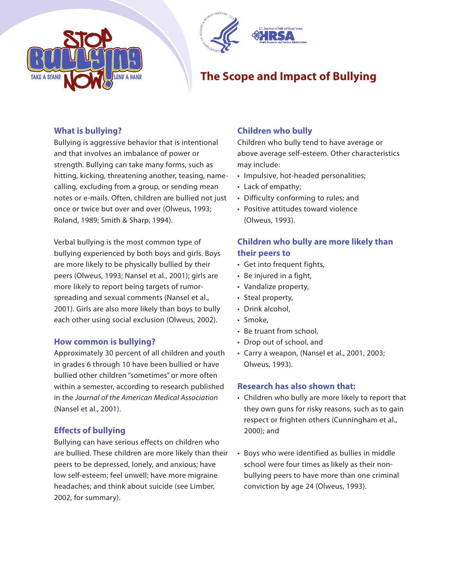



# **The Scope and Impact of Bullying**

## **What is bullying?**

Bullying is aggressive behavior that is intentional and that involves an imbalance of power or strength. Bullying can take many forms, such as hitting, kicking, threatening another, teasing, namecalling, excluding from a group, or sending mean notes or e-mails. Often, children are bullied not just once or twice but over and over (Olweus, 1993; Roland, 1989; Smith & Sharp, 1994).

Verbal bullying is the most common type of bullying experienced by both boys and girls. Boys are more likely to be physically bullied by their peers (Olweus, 1993; Nansel et al., 2001); girls are more likely to report being targets of rumorspreading and sexual comments (Nansel et al., 2001). Girls are also more likely than boys to bully each other using social exclusion (Olweus, 2002).

### **How common is bullying?**

Approximately 30 percent of all children and youth in grades 6 through 10 have been bullied or have bullied other children "sometimes" or more often within a semester, according to research published in the Journal of the American Medical Association (Nansel et al., 2001).

## **Effects of bullying**

Bullying can have serious effects on children who are bullied. These children are more likely than their peers to be depressed, lonely, and anxious; have low self-esteem; feel unwell; have more migraine headaches; and think about suicide (see Limber, 2002, for summary).

## **Children who bully**

Children who bully tend to have average or above average self-esteem. Other characteristics may include:

- Impulsive, hot-headed personalities;
- Lack of empathy;
- Difficulty conforming to rules; and
- Positive attitudes toward violence (Olweus, 1993).

## **Children who bully are more likely than their peers to**

- Get into frequent fights,
- Be injured in a fight,
- Vandalize property,
- Steal property,
- Drink alcohol,
- Smoke,
- Be truant from school,
- Drop out of school, and
- Carry a weapon, (Nansel et al., 2001, 2003; Olweus, 1993).

### **Research has also shown that:**

- Children who bully are more likely to report that they own guns for risky reasons, such as to gain respect or frighten others (Cunningham et al., 2000); and
- Boys who were identified as bullies in middle school were four times as likely as their nonbullying peers to have more than one criminal conviction by age 24 (Olweus, 1993).